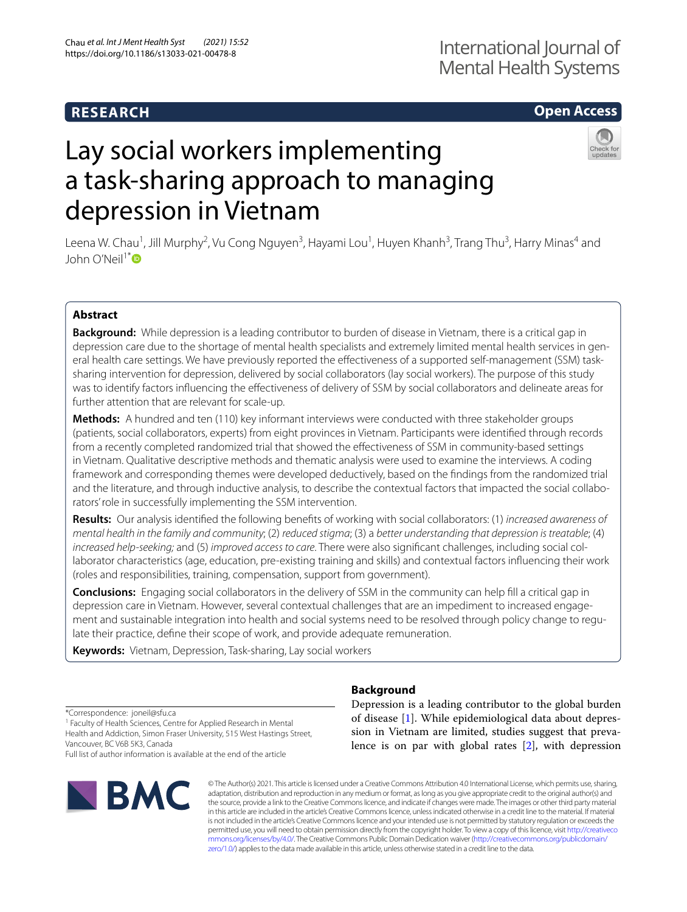# **RESEARCH**

# **Open Access**

# Lay social workers implementing a task-sharing approach to managing depression in Vietnam



Leena W. Chau<sup>1</sup>, Jill Murphy<sup>2</sup>, Vu Cong Nguyen<sup>3</sup>, Hayami Lou<sup>1</sup>, Huyen Khanh<sup>3</sup>, Trang Thu<sup>3</sup>, Harry Minas<sup>4</sup> and John O'Neil<sup>1[\\*](http://orcid.org/0000-0001-6370-4564)</sup>

# **Abstract**

**Background:** While depression is a leading contributor to burden of disease in Vietnam, there is a critical gap in depression care due to the shortage of mental health specialists and extremely limited mental health services in general health care settings. We have previously reported the efectiveness of a supported self-management (SSM) tasksharing intervention for depression, delivered by social collaborators (lay social workers). The purpose of this study was to identify factors infuencing the efectiveness of delivery of SSM by social collaborators and delineate areas for further attention that are relevant for scale-up.

**Methods:** A hundred and ten (110) key informant interviews were conducted with three stakeholder groups (patients, social collaborators, experts) from eight provinces in Vietnam. Participants were identifed through records from a recently completed randomized trial that showed the efectiveness of SSM in community-based settings in Vietnam. Qualitative descriptive methods and thematic analysis were used to examine the interviews. A coding framework and corresponding themes were developed deductively, based on the fndings from the randomized trial and the literature, and through inductive analysis, to describe the contextual factors that impacted the social collaborators' role in successfully implementing the SSM intervention.

**Results:** Our analysis identifed the following benefts of working with social collaborators: (1) *increased awareness of mental health in the family and community*; (2) *reduced stigma*; (3) a *better understanding that depression is treatable*; (4) *increased help-seeking;* and (5) *improved access to care*. There were also signifcant challenges, including social collaborator characteristics (age, education, pre-existing training and skills) and contextual factors infuencing their work (roles and responsibilities, training, compensation, support from government).

**Conclusions:** Engaging social collaborators in the delivery of SSM in the community can help fll a critical gap in depression care in Vietnam. However, several contextual challenges that are an impediment to increased engagement and sustainable integration into health and social systems need to be resolved through policy change to regulate their practice, defne their scope of work, and provide adequate remuneration.

**Keywords:** Vietnam, Depression, Task-sharing, Lay social workers

\*Correspondence: joneil@sfu.ca

<sup>1</sup> Faculty of Health Sciences, Centre for Applied Research in Mental Health and Addiction, Simon Fraser University, 515 West Hastings Street, Vancouver, BC V6B 5K3, Canada

Full list of author information is available at the end of the article



# **Background**

Depression is a leading contributor to the global burden of disease [\[1](#page-9-0)]. While epidemiological data about depression in Vietnam are limited, studies suggest that prevalence is on par with global rates [\[2](#page-9-1)], with depression

© The Author(s) 2021. This article is licensed under a Creative Commons Attribution 4.0 International License, which permits use, sharing, adaptation, distribution and reproduction in any medium or format, as long as you give appropriate credit to the original author(s) and the source, provide a link to the Creative Commons licence, and indicate if changes were made. The images or other third party material in this article are included in the article's Creative Commons licence, unless indicated otherwise in a credit line to the material. If material is not included in the article's Creative Commons licence and your intended use is not permitted by statutory regulation or exceeds the permitted use, you will need to obtain permission directly from the copyright holder. To view a copy of this licence, visit [http://creativeco](http://creativecommons.org/licenses/by/4.0/) [mmons.org/licenses/by/4.0/.](http://creativecommons.org/licenses/by/4.0/) The Creative Commons Public Domain Dedication waiver ([http://creativecommons.org/publicdomain/](http://creativecommons.org/publicdomain/zero/1.0/) [zero/1.0/\)](http://creativecommons.org/publicdomain/zero/1.0/) applies to the data made available in this article, unless otherwise stated in a credit line to the data.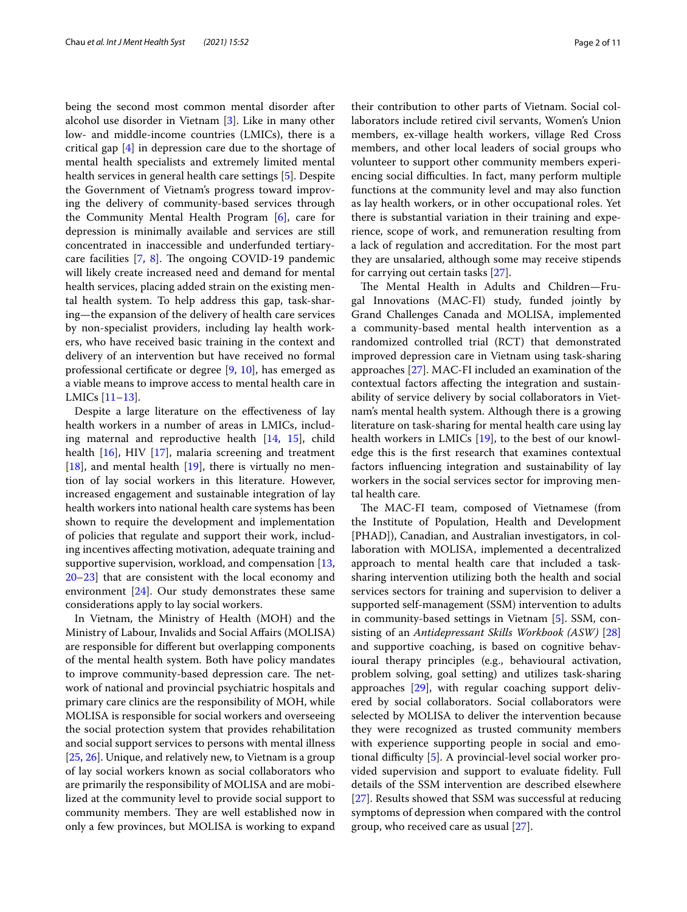being the second most common mental disorder after alcohol use disorder in Vietnam [[3\]](#page-9-2). Like in many other low- and middle-income countries (LMICs), there is a critical gap [[4\]](#page-9-3) in depression care due to the shortage of mental health specialists and extremely limited mental health services in general health care settings [[5\]](#page-9-4). Despite the Government of Vietnam's progress toward improving the delivery of community-based services through the Community Mental Health Program [[6\]](#page-9-5), care for depression is minimally available and services are still concentrated in inaccessible and underfunded tertiarycare facilities  $[7, 8]$  $[7, 8]$  $[7, 8]$  $[7, 8]$ . The ongoing COVID-19 pandemic will likely create increased need and demand for mental health services, placing added strain on the existing mental health system. To help address this gap, task-sharing—the expansion of the delivery of health care services by non-specialist providers, including lay health workers, who have received basic training in the context and delivery of an intervention but have received no formal professional certifcate or degree [\[9](#page-9-8), [10](#page-9-9)], has emerged as a viable means to improve access to mental health care in LMICs [[11–](#page-10-0)[13](#page-10-1)].

Despite a large literature on the efectiveness of lay health workers in a number of areas in LMICs, including maternal and reproductive health [\[14](#page-10-2), [15](#page-10-3)], child health [\[16](#page-10-4)], HIV [[17\]](#page-10-5), malaria screening and treatment [[18\]](#page-10-6), and mental health  $[19]$  $[19]$  $[19]$ , there is virtually no mention of lay social workers in this literature. However, increased engagement and sustainable integration of lay health workers into national health care systems has been shown to require the development and implementation of policies that regulate and support their work, including incentives afecting motivation, adequate training and supportive supervision, workload, and compensation [\[13](#page-10-1), [20–](#page-10-8)[23](#page-10-9)] that are consistent with the local economy and environment [[24\]](#page-10-10). Our study demonstrates these same considerations apply to lay social workers.

In Vietnam, the Ministry of Health (MOH) and the Ministry of Labour, Invalids and Social Afairs (MOLISA) are responsible for diferent but overlapping components of the mental health system. Both have policy mandates to improve community-based depression care. The network of national and provincial psychiatric hospitals and primary care clinics are the responsibility of MOH, while MOLISA is responsible for social workers and overseeing the social protection system that provides rehabilitation and social support services to persons with mental illness [[25,](#page-10-11) [26\]](#page-10-12). Unique, and relatively new, to Vietnam is a group of lay social workers known as social collaborators who are primarily the responsibility of MOLISA and are mobilized at the community level to provide social support to community members. They are well established now in only a few provinces, but MOLISA is working to expand their contribution to other parts of Vietnam. Social collaborators include retired civil servants, Women's Union members, ex-village health workers, village Red Cross members, and other local leaders of social groups who volunteer to support other community members experiencing social difficulties. In fact, many perform multiple functions at the community level and may also function as lay health workers, or in other occupational roles. Yet there is substantial variation in their training and experience, scope of work, and remuneration resulting from a lack of regulation and accreditation. For the most part they are unsalaried, although some may receive stipends for carrying out certain tasks [\[27](#page-10-13)].

The Mental Health in Adults and Children-Frugal Innovations (MAC-FI) study, funded jointly by Grand Challenges Canada and MOLISA, implemented a community-based mental health intervention as a randomized controlled trial (RCT) that demonstrated improved depression care in Vietnam using task-sharing approaches [[27\]](#page-10-13). MAC-FI included an examination of the contextual factors afecting the integration and sustainability of service delivery by social collaborators in Vietnam's mental health system. Although there is a growing literature on task-sharing for mental health care using lay health workers in LMICs [\[19](#page-10-7)], to the best of our knowledge this is the frst research that examines contextual factors infuencing integration and sustainability of lay workers in the social services sector for improving mental health care.

The MAC-FI team, composed of Vietnamese (from the Institute of Population, Health and Development [PHAD]), Canadian, and Australian investigators, in collaboration with MOLISA, implemented a decentralized approach to mental health care that included a tasksharing intervention utilizing both the health and social services sectors for training and supervision to deliver a supported self-management (SSM) intervention to adults in community-based settings in Vietnam [[5](#page-9-4)]. SSM, consisting of an *Antidepressant Skills Workbook (ASW)* [[28](#page-10-14)] and supportive coaching, is based on cognitive behavioural therapy principles (e.g., behavioural activation, problem solving, goal setting) and utilizes task-sharing approaches [\[29](#page-10-15)], with regular coaching support delivered by social collaborators. Social collaborators were selected by MOLISA to deliver the intervention because they were recognized as trusted community members with experience supporting people in social and emo-tional difficulty [\[5](#page-9-4)]. A provincial-level social worker provided supervision and support to evaluate fdelity. Full details of the SSM intervention are described elsewhere [[27\]](#page-10-13). Results showed that SSM was successful at reducing symptoms of depression when compared with the control group, who received care as usual [[27\]](#page-10-13).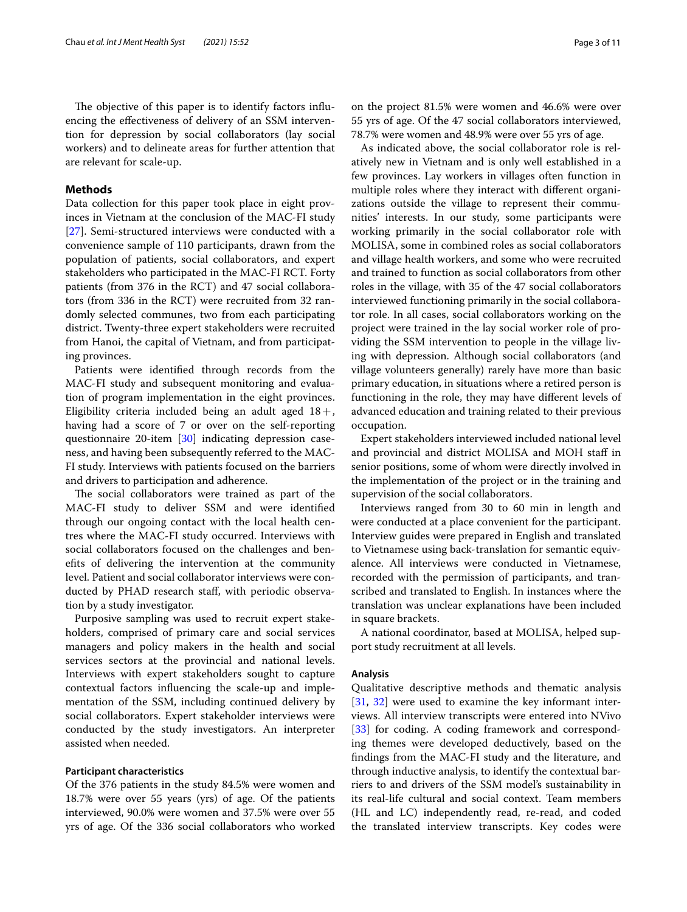The objective of this paper is to identify factors influencing the efectiveness of delivery of an SSM intervention for depression by social collaborators (lay social workers) and to delineate areas for further attention that are relevant for scale-up.

# **Methods**

Data collection for this paper took place in eight provinces in Vietnam at the conclusion of the MAC-FI study [[27\]](#page-10-13). Semi-structured interviews were conducted with a convenience sample of 110 participants, drawn from the population of patients, social collaborators, and expert stakeholders who participated in the MAC-FI RCT. Forty patients (from 376 in the RCT) and 47 social collaborators (from 336 in the RCT) were recruited from 32 randomly selected communes, two from each participating district. Twenty-three expert stakeholders were recruited from Hanoi, the capital of Vietnam, and from participating provinces.

Patients were identifed through records from the MAC-FI study and subsequent monitoring and evaluation of program implementation in the eight provinces. Eligibility criteria included being an adult aged  $18 +$ , having had a score of 7 or over on the self-reporting questionnaire 20-item [\[30](#page-10-16)] indicating depression caseness, and having been subsequently referred to the MAC-FI study. Interviews with patients focused on the barriers and drivers to participation and adherence.

The social collaborators were trained as part of the MAC-FI study to deliver SSM and were identifed through our ongoing contact with the local health centres where the MAC-FI study occurred. Interviews with social collaborators focused on the challenges and benefts of delivering the intervention at the community level. Patient and social collaborator interviews were conducted by PHAD research staf, with periodic observation by a study investigator.

Purposive sampling was used to recruit expert stakeholders, comprised of primary care and social services managers and policy makers in the health and social services sectors at the provincial and national levels. Interviews with expert stakeholders sought to capture contextual factors infuencing the scale-up and implementation of the SSM, including continued delivery by social collaborators. Expert stakeholder interviews were conducted by the study investigators. An interpreter assisted when needed.

#### **Participant characteristics**

Of the 376 patients in the study 84.5% were women and 18.7% were over 55 years (yrs) of age. Of the patients interviewed, 90.0% were women and 37.5% were over 55 yrs of age. Of the 336 social collaborators who worked on the project 81.5% were women and 46.6% were over 55 yrs of age. Of the 47 social collaborators interviewed, 78.7% were women and 48.9% were over 55 yrs of age.

As indicated above, the social collaborator role is relatively new in Vietnam and is only well established in a few provinces. Lay workers in villages often function in multiple roles where they interact with diferent organizations outside the village to represent their communities' interests. In our study, some participants were working primarily in the social collaborator role with MOLISA, some in combined roles as social collaborators and village health workers, and some who were recruited and trained to function as social collaborators from other roles in the village, with 35 of the 47 social collaborators interviewed functioning primarily in the social collaborator role. In all cases, social collaborators working on the project were trained in the lay social worker role of providing the SSM intervention to people in the village living with depression. Although social collaborators (and village volunteers generally) rarely have more than basic primary education, in situations where a retired person is functioning in the role, they may have diferent levels of advanced education and training related to their previous occupation.

Expert stakeholders interviewed included national level and provincial and district MOLISA and MOH staf in senior positions, some of whom were directly involved in the implementation of the project or in the training and supervision of the social collaborators.

Interviews ranged from 30 to 60 min in length and were conducted at a place convenient for the participant. Interview guides were prepared in English and translated to Vietnamese using back-translation for semantic equivalence. All interviews were conducted in Vietnamese, recorded with the permission of participants, and transcribed and translated to English. In instances where the translation was unclear explanations have been included in square brackets.

A national coordinator, based at MOLISA, helped support study recruitment at all levels.

#### **Analysis**

Qualitative descriptive methods and thematic analysis [[31,](#page-10-17) [32\]](#page-10-18) were used to examine the key informant interviews. All interview transcripts were entered into NVivo [[33\]](#page-10-19) for coding. A coding framework and corresponding themes were developed deductively, based on the fndings from the MAC-FI study and the literature, and through inductive analysis, to identify the contextual barriers to and drivers of the SSM model's sustainability in its real-life cultural and social context. Team members (HL and LC) independently read, re-read, and coded the translated interview transcripts. Key codes were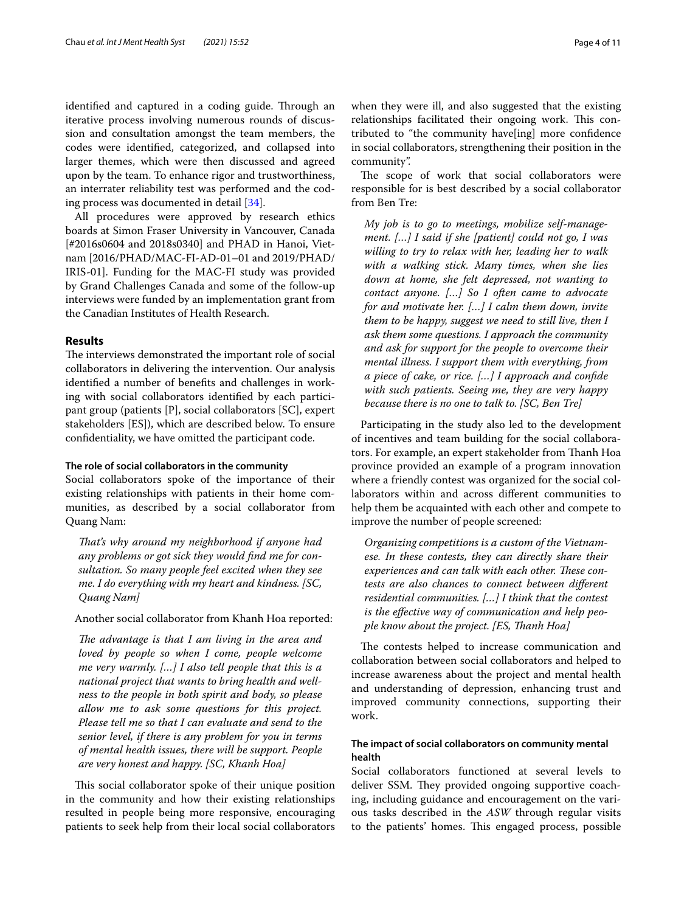identified and captured in a coding guide. Through an iterative process involving numerous rounds of discussion and consultation amongst the team members, the codes were identifed, categorized, and collapsed into larger themes, which were then discussed and agreed upon by the team. To enhance rigor and trustworthiness, an interrater reliability test was performed and the coding process was documented in detail [[34\]](#page-10-20).

All procedures were approved by research ethics boards at Simon Fraser University in Vancouver, Canada [#2016s0604 and 2018s0340] and PHAD in Hanoi, Vietnam [2016/PHAD/MAC-FI-AD-01–01 and 2019/PHAD/ IRIS-01]. Funding for the MAC-FI study was provided by Grand Challenges Canada and some of the follow-up interviews were funded by an implementation grant from the Canadian Institutes of Health Research.

# **Results**

The interviews demonstrated the important role of social collaborators in delivering the intervention. Our analysis identifed a number of benefts and challenges in working with social collaborators identifed by each participant group (patients [P], social collaborators [SC], expert stakeholders [ES]), which are described below. To ensure confdentiality, we have omitted the participant code.

# **The role of social collaborators in the community**

Social collaborators spoke of the importance of their existing relationships with patients in their home communities, as described by a social collaborator from Quang Nam:

*Tat's why around my neighborhood if anyone had any problems or got sick they would fnd me for consultation. So many people feel excited when they see me. I do everything with my heart and kindness. [SC, Quang Nam]*

# Another social collaborator from Khanh Hoa reported:

*The advantage is that I am living in the area and loved by people so when I come, people welcome me very warmly. […] I also tell people that this is a national project that wants to bring health and wellness to the people in both spirit and body, so please allow me to ask some questions for this project. Please tell me so that I can evaluate and send to the senior level, if there is any problem for you in terms of mental health issues, there will be support. People are very honest and happy. [SC, Khanh Hoa]*

This social collaborator spoke of their unique position in the community and how their existing relationships resulted in people being more responsive, encouraging patients to seek help from their local social collaborators when they were ill, and also suggested that the existing relationships facilitated their ongoing work. This contributed to "the community have[ing] more confdence in social collaborators, strengthening their position in the community".

The scope of work that social collaborators were responsible for is best described by a social collaborator from Ben Tre:

*My job is to go to meetings, mobilize self-management. […] I said if she [patient] could not go, I was willing to try to relax with her, leading her to walk with a walking stick. Many times, when she lies down at home, she felt depressed, not wanting to contact anyone. […] So I often came to advocate for and motivate her. […] I calm them down, invite them to be happy, suggest we need to still live, then I ask them some questions. I approach the community and ask for support for the people to overcome their mental illness. I support them with everything, from a piece of cake, or rice. […] I approach and confde with such patients. Seeing me, they are very happy because there is no one to talk to. [SC, Ben Tre]*

Participating in the study also led to the development of incentives and team building for the social collaborators. For example, an expert stakeholder from Thanh Hoa province provided an example of a program innovation where a friendly contest was organized for the social collaborators within and across diferent communities to help them be acquainted with each other and compete to improve the number of people screened:

*Organizing competitions is a custom of the Vietnamese. In these contests, they can directly share their*  experiences and can talk with each other. These con*tests are also chances to connect between diferent residential communities. […] I think that the contest is the efective way of communication and help people know about the project. [ES, Tanh Hoa]*

The contests helped to increase communication and collaboration between social collaborators and helped to increase awareness about the project and mental health and understanding of depression, enhancing trust and improved community connections, supporting their work.

# **The impact of social collaborators on community mental health**

Social collaborators functioned at several levels to deliver SSM. They provided ongoing supportive coaching, including guidance and encouragement on the various tasks described in the *ASW* through regular visits to the patients' homes. This engaged process, possible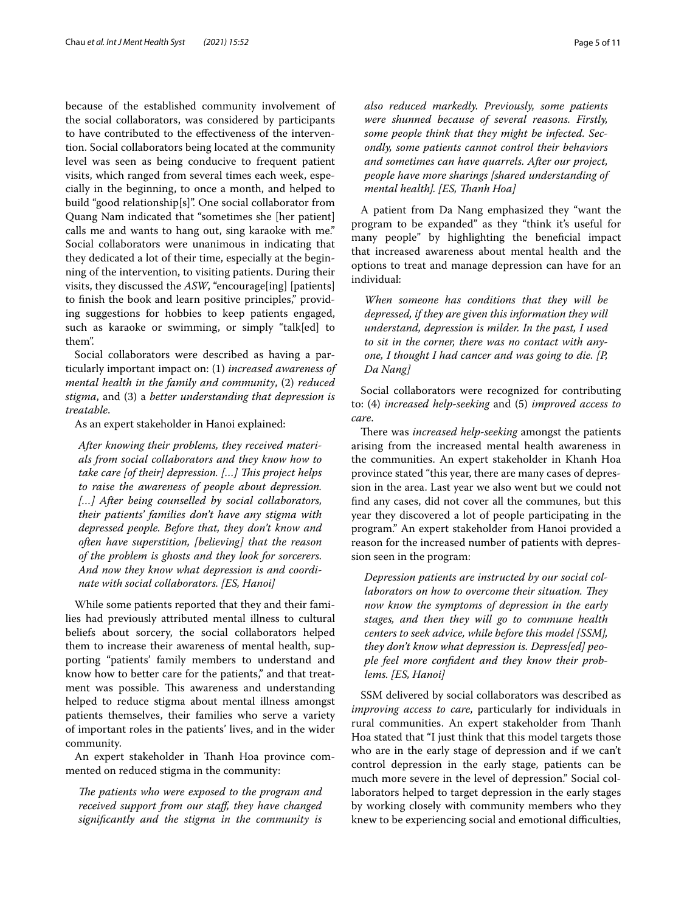because of the established community involvement of the social collaborators, was considered by participants to have contributed to the efectiveness of the intervention. Social collaborators being located at the community level was seen as being conducive to frequent patient visits, which ranged from several times each week, especially in the beginning, to once a month, and helped to build "good relationship[s]". One social collaborator from Quang Nam indicated that "sometimes she [her patient] calls me and wants to hang out, sing karaoke with me." Social collaborators were unanimous in indicating that they dedicated a lot of their time, especially at the beginning of the intervention, to visiting patients. During their visits, they discussed the *ASW*, "encourage[ing] [patients] to fnish the book and learn positive principles," providing suggestions for hobbies to keep patients engaged, such as karaoke or swimming, or simply "talk[ed] to them".

Social collaborators were described as having a particularly important impact on: (1) *increased awareness of mental health in the family and community*, (2) *reduced stigma*, and (3) a *better understanding that depression is treatable*.

As an expert stakeholder in Hanoi explained:

*After knowing their problems, they received materials from social collaborators and they know how to take care [of their] depression. [...] This project helps to raise the awareness of people about depression. […] After being counselled by social collaborators, their patients' families don't have any stigma with depressed people. Before that, they don't know and often have superstition, [believing] that the reason of the problem is ghosts and they look for sorcerers. And now they know what depression is and coordinate with social collaborators. [ES, Hanoi]*

While some patients reported that they and their families had previously attributed mental illness to cultural beliefs about sorcery, the social collaborators helped them to increase their awareness of mental health, supporting "patients' family members to understand and know how to better care for the patients," and that treatment was possible. This awareness and understanding helped to reduce stigma about mental illness amongst patients themselves, their families who serve a variety of important roles in the patients' lives, and in the wider community.

An expert stakeholder in Thanh Hoa province commented on reduced stigma in the community:

The patients who were exposed to the program and *received support from our staf, they have changed signifcantly and the stigma in the community is* 

*also reduced markedly. Previously, some patients were shunned because of several reasons. Firstly, some people think that they might be infected. Secondly, some patients cannot control their behaviors and sometimes can have quarrels. After our project, people have more sharings [shared understanding of mental health]. [ES, Tanh Hoa]*

A patient from Da Nang emphasized they "want the program to be expanded" as they "think it's useful for many people" by highlighting the benefcial impact that increased awareness about mental health and the options to treat and manage depression can have for an individual:

*When someone has conditions that they will be depressed, if they are given this information they will understand, depression is milder. In the past, I used to sit in the corner, there was no contact with anyone, I thought I had cancer and was going to die. [P, Da Nang]*

Social collaborators were recognized for contributing to: (4) *increased help-seeking* and (5) *improved access to care*.

There was *increased help-seeking* amongst the patients arising from the increased mental health awareness in the communities. An expert stakeholder in Khanh Hoa province stated "this year, there are many cases of depression in the area. Last year we also went but we could not fnd any cases, did not cover all the communes, but this year they discovered a lot of people participating in the program." An expert stakeholder from Hanoi provided a reason for the increased number of patients with depression seen in the program:

*Depression patients are instructed by our social col*laborators on how to overcome their situation. They *now know the symptoms of depression in the early stages, and then they will go to commune health centers to seek advice, while before this model [SSM], they don't know what depression is. Depress[ed] people feel more confdent and they know their problems. [ES, Hanoi]*

SSM delivered by social collaborators was described as *improving access to care*, particularly for individuals in rural communities. An expert stakeholder from Thanh Hoa stated that "I just think that this model targets those who are in the early stage of depression and if we can't control depression in the early stage, patients can be much more severe in the level of depression." Social collaborators helped to target depression in the early stages by working closely with community members who they knew to be experiencing social and emotional difficulties,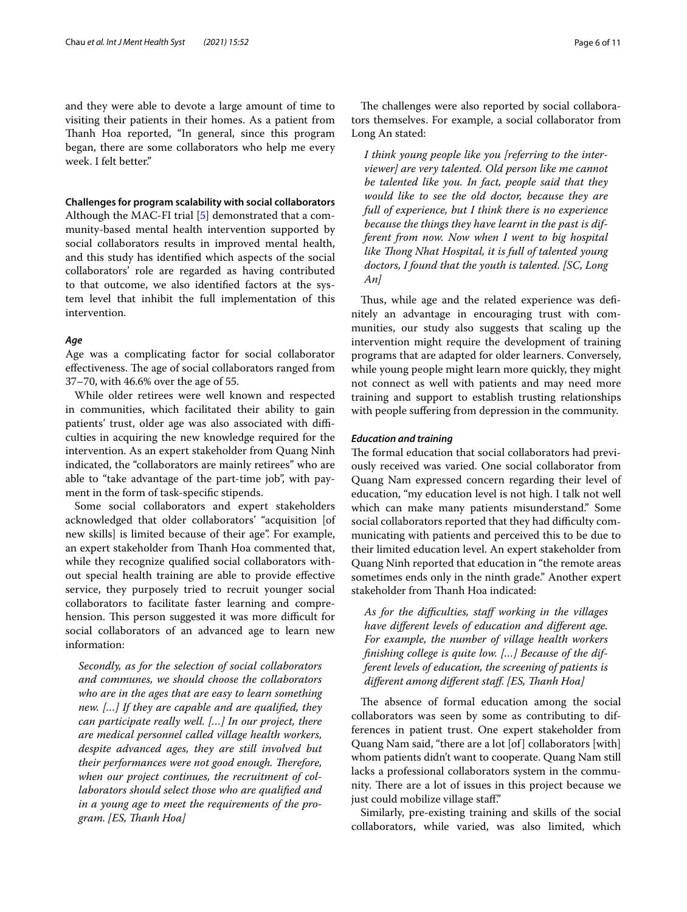and they were able to devote a large amount of time to visiting their patients in their homes. As a patient from Thanh Hoa reported, "In general, since this program began, there are some collaborators who help me every week. I felt better."

## **Challenges for program scalability with social collaborators**

Although the MAC-FI trial [[5](#page-9-4)] demonstrated that a community-based mental health intervention supported by social collaborators results in improved mental health, and this study has identifed which aspects of the social collaborators' role are regarded as having contributed to that outcome, we also identifed factors at the system level that inhibit the full implementation of this intervention.

## *Age*

Age was a complicating factor for social collaborator effectiveness. The age of social collaborators ranged from 37–70, with 46.6% over the age of 55.

While older retirees were well known and respected in communities, which facilitated their ability to gain patients' trust, older age was also associated with difficulties in acquiring the new knowledge required for the intervention. As an expert stakeholder from Quang Ninh indicated, the "collaborators are mainly retirees" who are able to "take advantage of the part-time job", with payment in the form of task-specifc stipends.

Some social collaborators and expert stakeholders acknowledged that older collaborators' "acquisition [of new skills] is limited because of their age". For example, an expert stakeholder from Thanh Hoa commented that, while they recognize qualifed social collaborators without special health training are able to provide efective service, they purposely tried to recruit younger social collaborators to facilitate faster learning and comprehension. This person suggested it was more difficult for social collaborators of an advanced age to learn new information:

*Secondly, as for the selection of social collaborators and communes, we should choose the collaborators who are in the ages that are easy to learn something new. […] If they are capable and are qualifed, they can participate really well. […] In our project, there are medical personnel called village health workers, despite advanced ages, they are still involved but their performances were not good enough. Therefore, when our project continues, the recruitment of collaborators should select those who are qualifed and in a young age to meet the requirements of the program. [ES, Tanh Hoa]*

The challenges were also reported by social collaborators themselves. For example, a social collaborator from Long An stated:

*I think young people like you [referring to the interviewer] are very talented. Old person like me cannot be talented like you. In fact, people said that they would like to see the old doctor, because they are full of experience, but I think there is no experience because the things they have learnt in the past is different from now. Now when I went to big hospital*  like Thong Nhat Hospital, it is full of talented young *doctors, I found that the youth is talented. [SC, Long An]*

Thus, while age and the related experience was definitely an advantage in encouraging trust with communities, our study also suggests that scaling up the intervention might require the development of training programs that are adapted for older learners. Conversely, while young people might learn more quickly, they might not connect as well with patients and may need more training and support to establish trusting relationships with people suffering from depression in the community.

#### *Education and training*

The formal education that social collaborators had previously received was varied. One social collaborator from Quang Nam expressed concern regarding their level of education, "my education level is not high. I talk not well which can make many patients misunderstand." Some social collaborators reported that they had difficulty communicating with patients and perceived this to be due to their limited education level. An expert stakeholder from Quang Ninh reported that education in "the remote areas sometimes ends only in the ninth grade." Another expert stakeholder from Thanh Hoa indicated:

*As for the difculties, staf working in the villages have diferent levels of education and diferent age. For example, the number of village health workers fnishing college is quite low. […] Because of the different levels of education, the screening of patients is diferent among diferent staf. [ES, Tanh Hoa]*

The absence of formal education among the social collaborators was seen by some as contributing to differences in patient trust. One expert stakeholder from Quang Nam said, "there are a lot [of] collaborators [with] whom patients didn't want to cooperate. Quang Nam still lacks a professional collaborators system in the community. There are a lot of issues in this project because we just could mobilize village staf."

Similarly, pre-existing training and skills of the social collaborators, while varied, was also limited, which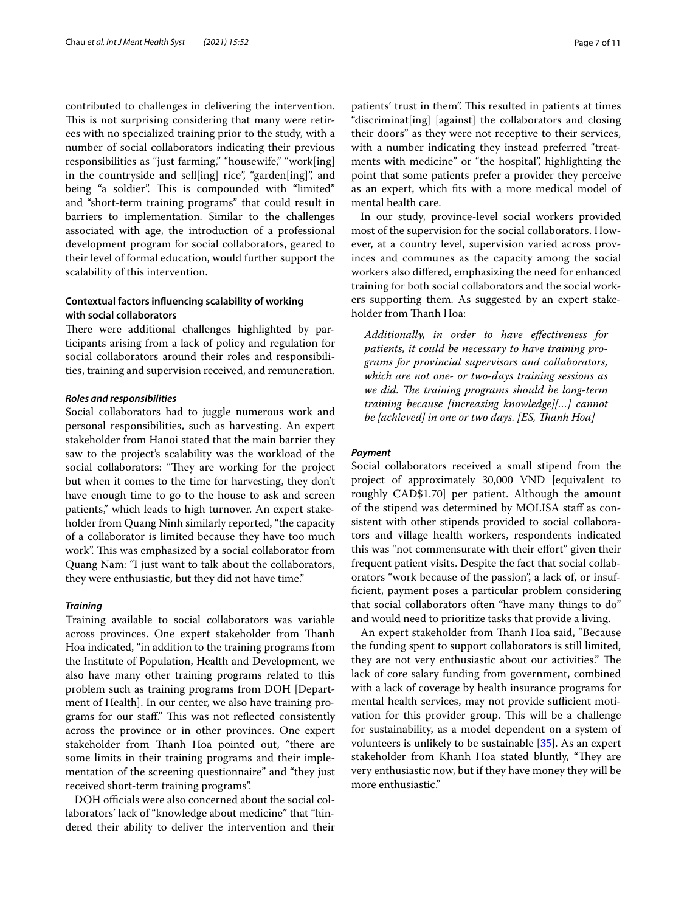contributed to challenges in delivering the intervention. This is not surprising considering that many were retirees with no specialized training prior to the study, with a number of social collaborators indicating their previous responsibilities as "just farming," "housewife," "work[ing] in the countryside and sell[ing] rice", "garden[ing]", and being "a soldier". This is compounded with "limited" and "short-term training programs" that could result in barriers to implementation. Similar to the challenges associated with age, the introduction of a professional development program for social collaborators, geared to their level of formal education, would further support the scalability of this intervention.

# **Contextual factors infuencing scalability of working with social collaborators**

There were additional challenges highlighted by participants arising from a lack of policy and regulation for social collaborators around their roles and responsibilities, training and supervision received, and remuneration.

#### *Roles and responsibilities*

Social collaborators had to juggle numerous work and personal responsibilities, such as harvesting. An expert stakeholder from Hanoi stated that the main barrier they saw to the project's scalability was the workload of the social collaborators: "They are working for the project but when it comes to the time for harvesting, they don't have enough time to go to the house to ask and screen patients," which leads to high turnover. An expert stakeholder from Quang Ninh similarly reported, "the capacity of a collaborator is limited because they have too much work". This was emphasized by a social collaborator from Quang Nam: "I just want to talk about the collaborators, they were enthusiastic, but they did not have time."

#### *Training*

Training available to social collaborators was variable across provinces. One expert stakeholder from Thanh Hoa indicated, "in addition to the training programs from the Institute of Population, Health and Development, we also have many other training programs related to this problem such as training programs from DOH [Department of Health]. In our center, we also have training programs for our staff." This was not reflected consistently across the province or in other provinces. One expert stakeholder from Thanh Hoa pointed out, "there are some limits in their training programs and their implementation of the screening questionnaire" and "they just received short-term training programs".

DOH officials were also concerned about the social collaborators' lack of "knowledge about medicine" that "hindered their ability to deliver the intervention and their patients' trust in them". This resulted in patients at times "discriminat[ing] [against] the collaborators and closing their doors" as they were not receptive to their services, with a number indicating they instead preferred "treatments with medicine" or "the hospital", highlighting the point that some patients prefer a provider they perceive as an expert, which fts with a more medical model of mental health care.

In our study, province-level social workers provided most of the supervision for the social collaborators. However, at a country level, supervision varied across provinces and communes as the capacity among the social workers also difered, emphasizing the need for enhanced training for both social collaborators and the social workers supporting them. As suggested by an expert stakeholder from Thanh Hoa:

*Additionally, in order to have efectiveness for patients, it could be necessary to have training programs for provincial supervisors and collaborators, which are not one- or two-days training sessions as*  we did. The training programs should be long-term *training because [increasing knowledge][…] cannot be [achieved] in one or two days. [ES, Tanh Hoa]*

#### *Payment*

Social collaborators received a small stipend from the project of approximately 30,000 VND [equivalent to roughly CAD\$1.70] per patient. Although the amount of the stipend was determined by MOLISA staff as consistent with other stipends provided to social collaborators and village health workers, respondents indicated this was "not commensurate with their efort" given their frequent patient visits. Despite the fact that social collaborators "work because of the passion", a lack of, or insuffcient, payment poses a particular problem considering that social collaborators often "have many things to do" and would need to prioritize tasks that provide a living.

An expert stakeholder from Thanh Hoa said, "Because the funding spent to support collaborators is still limited, they are not very enthusiastic about our activities." The lack of core salary funding from government, combined with a lack of coverage by health insurance programs for mental health services, may not provide sufficient motivation for this provider group. This will be a challenge for sustainability, as a model dependent on a system of volunteers is unlikely to be sustainable [[35](#page-10-21)]. As an expert stakeholder from Khanh Hoa stated bluntly, "They are very enthusiastic now, but if they have money they will be more enthusiastic."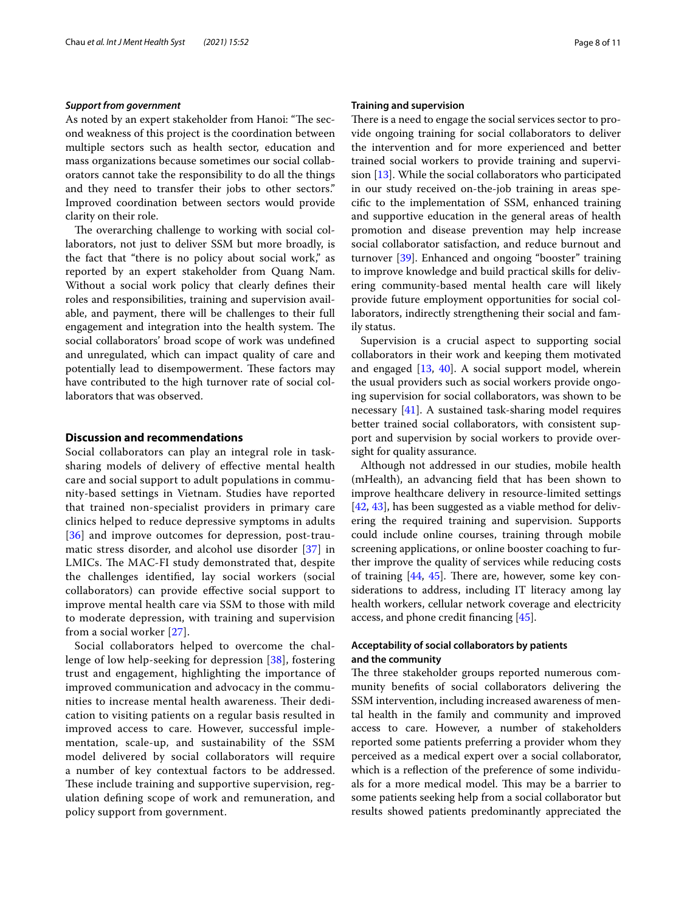#### *Support from government*

As noted by an expert stakeholder from Hanoi: "The second weakness of this project is the coordination between multiple sectors such as health sector, education and mass organizations because sometimes our social collaborators cannot take the responsibility to do all the things and they need to transfer their jobs to other sectors." Improved coordination between sectors would provide clarity on their role.

The overarching challenge to working with social collaborators, not just to deliver SSM but more broadly, is the fact that "there is no policy about social work," as reported by an expert stakeholder from Quang Nam. Without a social work policy that clearly defnes their roles and responsibilities, training and supervision available, and payment, there will be challenges to their full engagement and integration into the health system. The social collaborators' broad scope of work was undefned and unregulated, which can impact quality of care and potentially lead to disempowerment. These factors may have contributed to the high turnover rate of social collaborators that was observed.

# **Discussion and recommendations**

Social collaborators can play an integral role in tasksharing models of delivery of efective mental health care and social support to adult populations in community-based settings in Vietnam. Studies have reported that trained non-specialist providers in primary care clinics helped to reduce depressive symptoms in adults [[36](#page-10-22)] and improve outcomes for depression, post-traumatic stress disorder, and alcohol use disorder [\[37](#page-10-23)] in LMICs. The MAC-FI study demonstrated that, despite the challenges identifed, lay social workers (social collaborators) can provide efective social support to improve mental health care via SSM to those with mild to moderate depression, with training and supervision from a social worker [[27\]](#page-10-13).

Social collaborators helped to overcome the challenge of low help-seeking for depression [[38\]](#page-10-24), fostering trust and engagement, highlighting the importance of improved communication and advocacy in the communities to increase mental health awareness. Their dedication to visiting patients on a regular basis resulted in improved access to care. However, successful implementation, scale-up, and sustainability of the SSM model delivered by social collaborators will require a number of key contextual factors to be addressed. These include training and supportive supervision, regulation defning scope of work and remuneration, and policy support from government.

#### **Training and supervision**

There is a need to engage the social services sector to provide ongoing training for social collaborators to deliver the intervention and for more experienced and better trained social workers to provide training and supervision [\[13](#page-10-1)]. While the social collaborators who participated in our study received on-the-job training in areas specifc to the implementation of SSM, enhanced training and supportive education in the general areas of health promotion and disease prevention may help increase social collaborator satisfaction, and reduce burnout and turnover [[39\]](#page-10-25). Enhanced and ongoing "booster" training to improve knowledge and build practical skills for delivering community-based mental health care will likely provide future employment opportunities for social collaborators, indirectly strengthening their social and family status.

Supervision is a crucial aspect to supporting social collaborators in their work and keeping them motivated and engaged [[13](#page-10-1), [40](#page-10-26)]. A social support model, wherein the usual providers such as social workers provide ongoing supervision for social collaborators, was shown to be necessary [[41\]](#page-10-27). A sustained task-sharing model requires better trained social collaborators, with consistent support and supervision by social workers to provide oversight for quality assurance.

Although not addressed in our studies, mobile health (mHealth), an advancing feld that has been shown to improve healthcare delivery in resource-limited settings [[42,](#page-10-28) [43](#page-10-29)], has been suggested as a viable method for delivering the required training and supervision. Supports could include online courses, training through mobile screening applications, or online booster coaching to further improve the quality of services while reducing costs of training  $[44, 45]$  $[44, 45]$  $[44, 45]$  $[44, 45]$ . There are, however, some key considerations to address, including IT literacy among lay health workers, cellular network coverage and electricity access, and phone credit fnancing [\[45\]](#page-10-31).

# **Acceptability of social collaborators by patients and the community**

The three stakeholder groups reported numerous community benefts of social collaborators delivering the SSM intervention, including increased awareness of mental health in the family and community and improved access to care. However, a number of stakeholders reported some patients preferring a provider whom they perceived as a medical expert over a social collaborator, which is a reflection of the preference of some individuals for a more medical model. This may be a barrier to some patients seeking help from a social collaborator but results showed patients predominantly appreciated the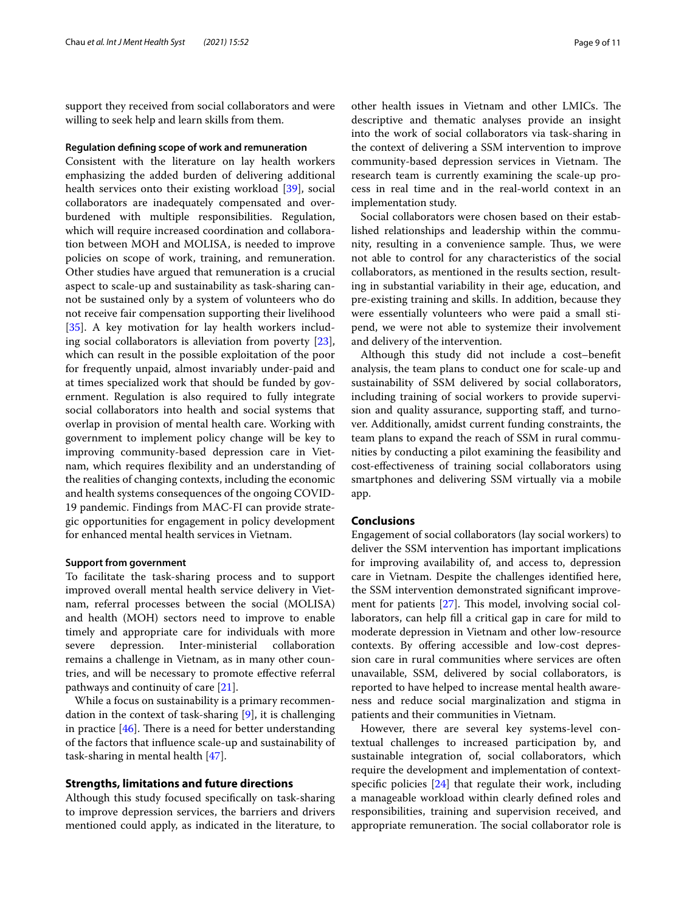support they received from social collaborators and were willing to seek help and learn skills from them.

#### **Regulation defning scope of work and remuneration**

Consistent with the literature on lay health workers emphasizing the added burden of delivering additional health services onto their existing workload [\[39](#page-10-25)], social collaborators are inadequately compensated and overburdened with multiple responsibilities. Regulation, which will require increased coordination and collaboration between MOH and MOLISA, is needed to improve policies on scope of work, training, and remuneration. Other studies have argued that remuneration is a crucial aspect to scale-up and sustainability as task-sharing cannot be sustained only by a system of volunteers who do not receive fair compensation supporting their livelihood [[35\]](#page-10-21). A key motivation for lay health workers including social collaborators is alleviation from poverty [\[23](#page-10-9)], which can result in the possible exploitation of the poor for frequently unpaid, almost invariably under-paid and at times specialized work that should be funded by government. Regulation is also required to fully integrate social collaborators into health and social systems that overlap in provision of mental health care. Working with government to implement policy change will be key to improving community-based depression care in Vietnam, which requires fexibility and an understanding of the realities of changing contexts, including the economic and health systems consequences of the ongoing COVID-19 pandemic. Findings from MAC-FI can provide strategic opportunities for engagement in policy development for enhanced mental health services in Vietnam.

#### **Support from government**

To facilitate the task-sharing process and to support improved overall mental health service delivery in Vietnam, referral processes between the social (MOLISA) and health (MOH) sectors need to improve to enable timely and appropriate care for individuals with more severe depression. Inter-ministerial collaboration remains a challenge in Vietnam, as in many other countries, and will be necessary to promote efective referral pathways and continuity of care [[21](#page-10-32)].

While a focus on sustainability is a primary recommendation in the context of task-sharing [[9\]](#page-9-8), it is challenging in practice  $[46]$ . There is a need for better understanding of the factors that infuence scale-up and sustainability of task-sharing in mental health [\[47](#page-10-34)].

## **Strengths, limitations and future directions**

Although this study focused specifcally on task-sharing to improve depression services, the barriers and drivers mentioned could apply, as indicated in the literature, to

other health issues in Vietnam and other LMICs. The descriptive and thematic analyses provide an insight into the work of social collaborators via task-sharing in the context of delivering a SSM intervention to improve community-based depression services in Vietnam. The research team is currently examining the scale-up process in real time and in the real-world context in an implementation study.

Social collaborators were chosen based on their established relationships and leadership within the community, resulting in a convenience sample. Thus, we were not able to control for any characteristics of the social collaborators, as mentioned in the results section, resulting in substantial variability in their age, education, and pre-existing training and skills. In addition, because they were essentially volunteers who were paid a small stipend, we were not able to systemize their involvement and delivery of the intervention.

Although this study did not include a cost–beneft analysis, the team plans to conduct one for scale-up and sustainability of SSM delivered by social collaborators, including training of social workers to provide supervision and quality assurance, supporting staf, and turnover. Additionally, amidst current funding constraints, the team plans to expand the reach of SSM in rural communities by conducting a pilot examining the feasibility and cost-efectiveness of training social collaborators using smartphones and delivering SSM virtually via a mobile app.

# **Conclusions**

Engagement of social collaborators (lay social workers) to deliver the SSM intervention has important implications for improving availability of, and access to, depression care in Vietnam. Despite the challenges identifed here, the SSM intervention demonstrated signifcant improvement for patients  $[27]$  $[27]$ . This model, involving social collaborators, can help fll a critical gap in care for mild to moderate depression in Vietnam and other low-resource contexts. By offering accessible and low-cost depression care in rural communities where services are often unavailable, SSM, delivered by social collaborators, is reported to have helped to increase mental health awareness and reduce social marginalization and stigma in patients and their communities in Vietnam.

However, there are several key systems-level contextual challenges to increased participation by, and sustainable integration of, social collaborators, which require the development and implementation of contextspecifc policies [\[24\]](#page-10-10) that regulate their work, including a manageable workload within clearly defned roles and responsibilities, training and supervision received, and appropriate remuneration. The social collaborator role is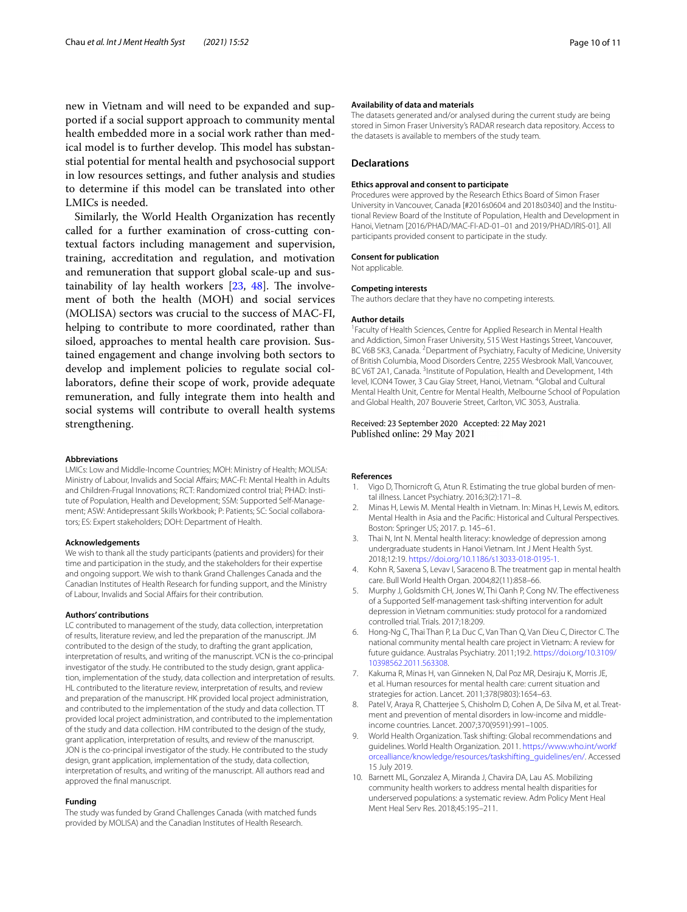new in Vietnam and will need to be expanded and supported if a social support approach to community mental health embedded more in a social work rather than medical model is to further develop. This model has substanstial potential for mental health and psychosocial support in low resources settings, and futher analysis and studies to determine if this model can be translated into other LMICs is needed.

Similarly, the World Health Organization has recently called for a further examination of cross-cutting contextual factors including management and supervision, training, accreditation and regulation, and motivation and remuneration that support global scale-up and sustainability of lay health workers  $[23, 48]$  $[23, 48]$  $[23, 48]$ . The involvement of both the health (MOH) and social services (MOLISA) sectors was crucial to the success of MAC-FI, helping to contribute to more coordinated, rather than siloed, approaches to mental health care provision. Sustained engagement and change involving both sectors to develop and implement policies to regulate social collaborators, defne their scope of work, provide adequate remuneration, and fully integrate them into health and social systems will contribute to overall health systems strengthening.

#### **Abbreviations**

LMICs: Low and Middle-Income Countries; MOH: Ministry of Health; MOLISA: Ministry of Labour, Invalids and Social Afairs; MAC-FI: Mental Health in Adults and Children-Frugal Innovations; RCT: Randomized control trial; PHAD: Institute of Population, Health and Development; SSM: Supported Self-Management; ASW: Antidepressant Skills Workbook; P: Patients; SC: Social collaborators; ES: Expert stakeholders; DOH: Department of Health.

#### **Acknowledgements**

We wish to thank all the study participants (patients and providers) for their time and participation in the study, and the stakeholders for their expertise and ongoing support. We wish to thank Grand Challenges Canada and the Canadian Institutes of Health Research for funding support, and the Ministry of Labour, Invalids and Social Afairs for their contribution.

#### **Authors' contributions**

LC contributed to management of the study, data collection, interpretation of results, literature review, and led the preparation of the manuscript. JM contributed to the design of the study, to drafting the grant application, interpretation of results, and writing of the manuscript. VCN is the co-principal investigator of the study. He contributed to the study design, grant application, implementation of the study, data collection and interpretation of results. HL contributed to the literature review, interpretation of results, and review and preparation of the manuscript. HK provided local project administration, and contributed to the implementation of the study and data collection. TT provided local project administration, and contributed to the implementation of the study and data collection. HM contributed to the design of the study, grant application, interpretation of results, and review of the manuscript. JON is the co-principal investigator of the study. He contributed to the study design, grant application, implementation of the study, data collection, interpretation of results, and writing of the manuscript. All authors read and approved the fnal manuscript.

#### **Funding**

The study was funded by Grand Challenges Canada (with matched funds provided by MOLISA) and the Canadian Institutes of Health Research.

#### **Availability of data and materials**

The datasets generated and/or analysed during the current study are being stored in Simon Fraser University's RADAR research data repository. Access to the datasets is available to members of the study team.

#### **Declarations**

#### **Ethics approval and consent to participate**

Procedures were approved by the Research Ethics Board of Simon Fraser University in Vancouver, Canada [#2016s0604 and 2018s0340] and the Institutional Review Board of the Institute of Population, Health and Development in Hanoi, Vietnam [2016/PHAD/MAC-FI-AD-01–01 and 2019/PHAD/IRIS-01]. All participants provided consent to participate in the study.

#### **Consent for publication**

Not applicable.

#### **Competing interests**

The authors declare that they have no competing interests.

#### **Author details**

<sup>1</sup> Faculty of Health Sciences, Centre for Applied Research in Mental Health and Addiction, Simon Fraser University, 515 West Hastings Street, Vancouver, BC V6B 5K3, Canada. <sup>2</sup> Department of Psychiatry, Faculty of Medicine, University of British Columbia, Mood Disorders Centre, 2255 Wesbrook Mall, Vancouver, BC V6T 2A1, Canada.<sup>3</sup> Institute of Population, Health and Development, 14th level, ICON4 Tower, 3 Cau Giay Street, Hanoi, Vietnam. <sup>4</sup> Global and Cultural Mental Health Unit, Centre for Mental Health, Melbourne School of Population and Global Health, 207 Bouverie Street, Carlton, VIC 3053, Australia.

## Received: 23 September 2020 Accepted: 22 May 2021 Published online: 29 May 2021

#### **References**

- <span id="page-9-0"></span>1. Vigo D, Thornicroft G, Atun R. Estimating the true global burden of mental illness. Lancet Psychiatry. 2016;3(2):171–8.
- <span id="page-9-1"></span>2. Minas H, Lewis M. Mental Health in Vietnam. In: Minas H, Lewis M, editors. Mental Health in Asia and the Pacifc: Historical and Cultural Perspectives. Boston: Springer US; 2017. p. 145–61.
- <span id="page-9-2"></span>3. Thai N, Int N. Mental health literacy: knowledge of depression among undergraduate students in Hanoi Vietnam. Int J Ment Health Syst. 2018;12:19. <https://doi.org/10.1186/s13033-018-0195-1>.
- <span id="page-9-3"></span>4. Kohn R, Saxena S, Levav I, Saraceno B. The treatment gap in mental health care. Bull World Health Organ. 2004;82(11):858–66.
- <span id="page-9-4"></span>5. Murphy J, Goldsmith CH, Jones W, Thi Oanh P, Cong NV. The efectiveness of a Supported Self-management task-shifting intervention for adult depression in Vietnam communities: study protocol for a randomized controlled trial. Trials. 2017;18:209.
- <span id="page-9-5"></span>6. Hong-Ng C, Thai Than P, La Duc C, Van Than Q, Van Dieu C, Director C. The national community mental health care project in Vietnam: A review for future guidance. Australas Psychiatry. 2011;19:2. [https://doi.org/10.3109/](https://doi.org/10.3109/10398562.2011.563308) [10398562.2011.563308](https://doi.org/10.3109/10398562.2011.563308).
- <span id="page-9-6"></span>7. Kakuma R, Minas H, van Ginneken N, Dal Poz MR, Desiraju K, Morris JE, et al. Human resources for mental health care: current situation and strategies for action. Lancet. 2011;378(9803):1654–63.
- <span id="page-9-7"></span>8. Patel V, Araya R, Chatterjee S, Chisholm D, Cohen A, De Silva M, et al. Treatment and prevention of mental disorders in low-income and middleincome countries. Lancet. 2007;370(9591):991–1005.
- <span id="page-9-8"></span>9. World Health Organization. Task shifting: Global recommendations and guidelines. World Health Organization. 2011. [https://www.who.int/workf](https://www.who.int/workforcealliance/knowledge/resources/taskshifting_guidelines/en/) [orcealliance/knowledge/resources/taskshifting\\_guidelines/en/](https://www.who.int/workforcealliance/knowledge/resources/taskshifting_guidelines/en/). Accessed 15 July 2019.
- <span id="page-9-9"></span>10. Barnett ML, Gonzalez A, Miranda J, Chavira DA, Lau AS. Mobilizing community health workers to address mental health disparities for underserved populations: a systematic review. Adm Policy Ment Heal Ment Heal Serv Res. 2018;45:195–211.